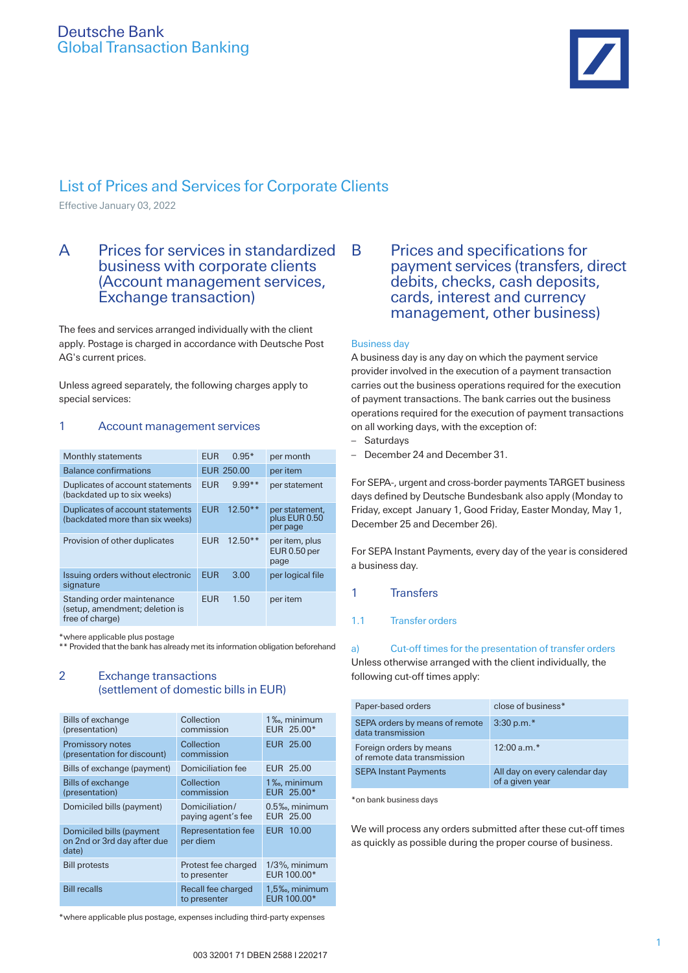

# List of Prices and Services for Corporate Clients

Effective January 03, 2022

# A Prices for services in standardized business with corporate clients (Account management services, Exchange transaction)

The fees and services arranged individually with the client apply. Postage is charged in accordance with Deutsche Post AG's current prices.

Unless agreed separately, the following charges apply to special services:

# 1 Account management services

| Monthly statements                                                              | <b>FUR</b><br>$0.95*$   | per month                                   |
|---------------------------------------------------------------------------------|-------------------------|---------------------------------------------|
| Balance confirmations                                                           | EUR 250.00              | per item                                    |
| Duplicates of account statements<br>(backdated up to six weeks)                 | <b>EUR</b><br>$9.99**$  | per statement                               |
| Duplicates of account statements<br>(backdated more than six weeks)             | <b>EUR</b><br>$12.50**$ | per statement,<br>plus EUR 0.50<br>per page |
| Provision of other duplicates                                                   | <b>EUR</b><br>$12.50**$ | per item, plus<br>EUR 0.50 per<br>page      |
| Issuing orders without electronic<br>signature                                  | <b>EUR</b><br>3.00      | per logical file                            |
| Standing order maintenance<br>(setup, amendment; deletion is<br>free of charge) | <b>FUR</b><br>1.50      | per item                                    |

\*where applicable plus postage

\*\* Provided that the bank has already met its information obligation beforehand

# 2 Exchange transactions (settlement of domestic bills in EUR)

| <b>Bills of exchange</b><br>(presentation)                       | Collection<br>commission             | 1%, minimum<br>EUR 25.00*        |
|------------------------------------------------------------------|--------------------------------------|----------------------------------|
| Promissory notes<br>(presentation for discount)                  | Collection<br>commission             | EUR 25.00                        |
| Bills of exchange (payment)                                      | Domiciliation fee                    | EUR 25.00                        |
| <b>Bills of exchange</b><br>(presentation)                       | Collection<br>commission             | 1%, minimum<br>EUR $25.00*$      |
| Domiciled bills (payment)                                        | Domiciliation/<br>paying agent's fee | 0.5%, minimum<br>EUR 25.00       |
| Domiciled bills (payment<br>on 2nd or 3rd day after due<br>date) | Representation fee<br>per diem       | EUR 10.00                        |
| <b>Bill protests</b>                                             | Protest fee charged<br>to presenter  | $1/3\%$ , minimum<br>EUR 100.00* |
| <b>Bill recalls</b>                                              | Recall fee charged<br>to presenter   | 1,5‰, minimum<br>EUR 100.00*     |

\*where applicable plus postage, expenses including third-party expenses

B Prices and specifications for payment services (transfers, direct debits, checks, cash deposits, cards, interest and currency management, other business)

### Business day

A business day is any day on which the payment service provider involved in the execution of a payment transaction carries out the business operations required for the execution of payment transactions. The bank carries out the business operations required for the execution of payment transactions on all working days, with the exception of:

- Saturdays
- December 24 and December 31.

For SEPA-, urgent and cross-border payments TARGET business days defined by Deutsche Bundesbank also apply (Monday to Friday, except January 1, Good Friday, Easter Monday, May 1, December 25 and December 26).

For SEPA Instant Payments, every day of the year is considered a business day.

- 1 Transfers
- 1.1 Transfer orders

a) Cut-off times for the presentation of transfer orders Unless otherwise arranged with the client individually, the following cut-off times apply:

| Paper-based orders                                     | close of business*                               |
|--------------------------------------------------------|--------------------------------------------------|
| SEPA orders by means of remote<br>data transmission    | $3:30 p.m.*$                                     |
| Foreign orders by means<br>of remote data transmission | $12:00 a.m.*$                                    |
| <b>SEPA Instant Payments</b>                           | All day on every calendar day<br>of a given year |

\*on bank business days

We will process any orders submitted after these cut-off times as quickly as possible during the proper course of business.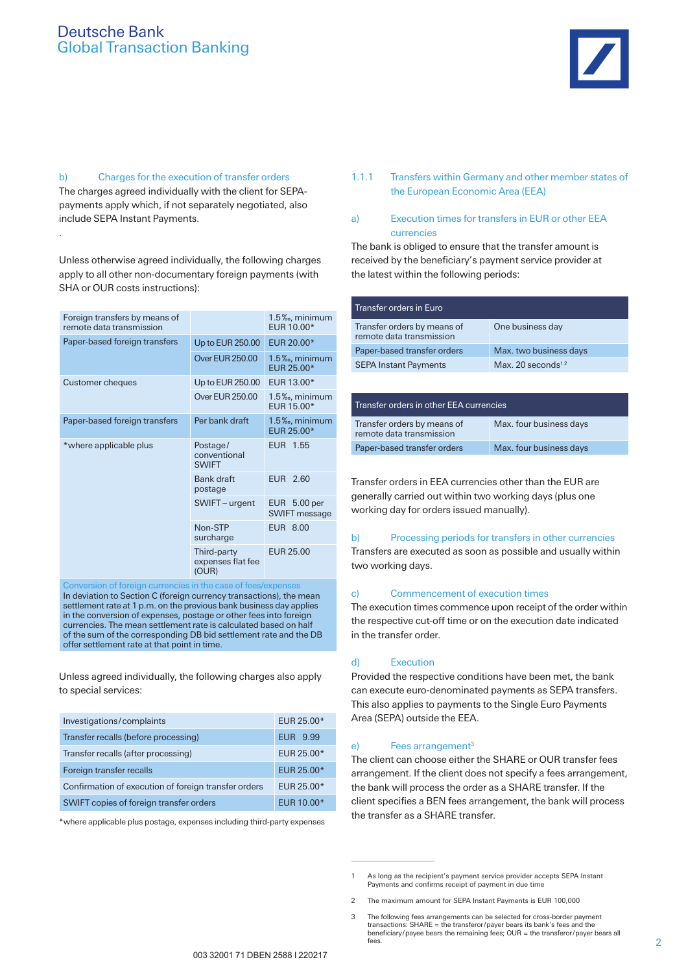# Deutsche Bank Global Transaction Banking



## b) Charges for the execution of transfer orders The charges agreed individually with the client for SEPApayments apply which, if not separately negotiated, also include SEPA Instant Payments.

.

Unless otherwise agreed individually, the following charges apply to all other non-documentary foreign payments (with SHA or OUR costs instructions):

| Foreign transfers by means of<br>remote data transmission |                                           | 1.5‰, minimum<br>EUR 10.00*            |
|-----------------------------------------------------------|-------------------------------------------|----------------------------------------|
| Paper-based foreign transfers                             | Up to EUR 250.00                          | EUR 20.00*                             |
|                                                           | <b>Over EUR 250.00</b>                    | 1.5‰, minimum<br>EUR 25.00*            |
| Customer cheques                                          | Up to EUR 250.00                          | EUR 13.00*                             |
|                                                           | <b>Over EUR 250.00</b>                    | $1.5\%$ , minimum<br>EUR 15.00*        |
| Paper-based foreign transfers                             | Per bank draft                            | 1.5‰, minimum<br>EUR 25.00*            |
| *where applicable plus                                    | Postage/<br>conventional<br><b>SWIFT</b>  | EUR 1.55                               |
|                                                           | <b>Bank draft</b><br>postage              | EUR 2.60                               |
|                                                           | SWIFT - urgent                            | EUR $5.00$ per<br><b>SWIFT</b> message |
|                                                           | Non-STP<br>surcharge                      | <b>EUR 8.00</b>                        |
|                                                           | Third-party<br>expenses flat fee<br>(OUR) | EUR 25.00                              |

encies in the case of f In deviation to Section C (foreign currency transactions), the mean settlement rate at 1 p.m. on the previous bank business day applies in the conversion of expenses, postage or other fees into foreign currencies. The mean settlement rate is calculated based on half of the sum of the corresponding DB bid settlement rate and the DB offer settlement rate at that point in time.

Unless agreed individually, the following charges also apply to special services:

| Investigations/complaints                            | EUR 25.00*   |
|------------------------------------------------------|--------------|
| Transfer recalls (before processing)                 | EUR 9.99     |
| Transfer recalls (after processing)                  | EUR $25.00*$ |
| Foreign transfer recalls                             | EUR 25.00*   |
| Confirmation of execution of foreign transfer orders | EUR 25.00*   |
| SWIFT copies of foreign transfer orders              | EUR 10.00*   |

\*where applicable plus postage, expenses including third-party expenses

- 1.1.1 Transfers within Germany and other member states of the European Economic Area (EEA)
- a) Execution times for transfers in EUR or other EEA currencies

The bank is obliged to ensure that the transfer amount is received by the beneficiary's payment service provider at the latest within the following periods:

| Transfer orders in Euro                                 |                               |
|---------------------------------------------------------|-------------------------------|
| Transfer orders by means of<br>remote data transmission | One business day              |
| Paper-based transfer orders                             | Max. two business days        |
| <b>SEPA Instant Payments</b>                            | Max. 20 seconds <sup>12</sup> |

| Transfer orders in other EEA currencies                 |                         |  |
|---------------------------------------------------------|-------------------------|--|
| Transfer orders by means of<br>remote data transmission | Max. four business days |  |
| Paper-based transfer orders                             | Max. four business days |  |

Transfer orders in EEA currencies other than the EUR are generally carried out within two working days (plus one working day for orders issued manually).

#### b) Processing periods for transfers in other currencies

Transfers are executed as soon as possible and usually within two working days.

#### c) Commencement of execution times

The execution times commence upon receipt of the order within the respective cut-off time or on the execution date indicated in the transfer order.

#### d) Execution

Provided the respective conditions have been met, the bank can execute euro-denominated payments as SEPA transfers. This also applies to payments to the Single Euro Payments Area (SEPA) outside the EEA.

#### e) Fees arrangement<sup>3</sup>

The client can choose either the SHARE or OUR transfer fees arrangement. If the client does not specify a fees arrangement, the bank will process the order as a SHARE transfer. If the client specifies a BEN fees arrangement, the bank will process the transfer as a SHARE transfer.

As long as the recipient's payment service provider accepts SEPA Instant Payments and confirms receipt of payment in due time

<sup>2</sup> The maximum amount for SEPA Instant Payments is EUR 100,000

<sup>3</sup> The following fees arrangements can be selected for cross-border payment transactions: SHARE = the transferor/payer bears its bank's fees and the beneficiary/payee bears the remaining fees; OUR = the transferor/payer bears all fees.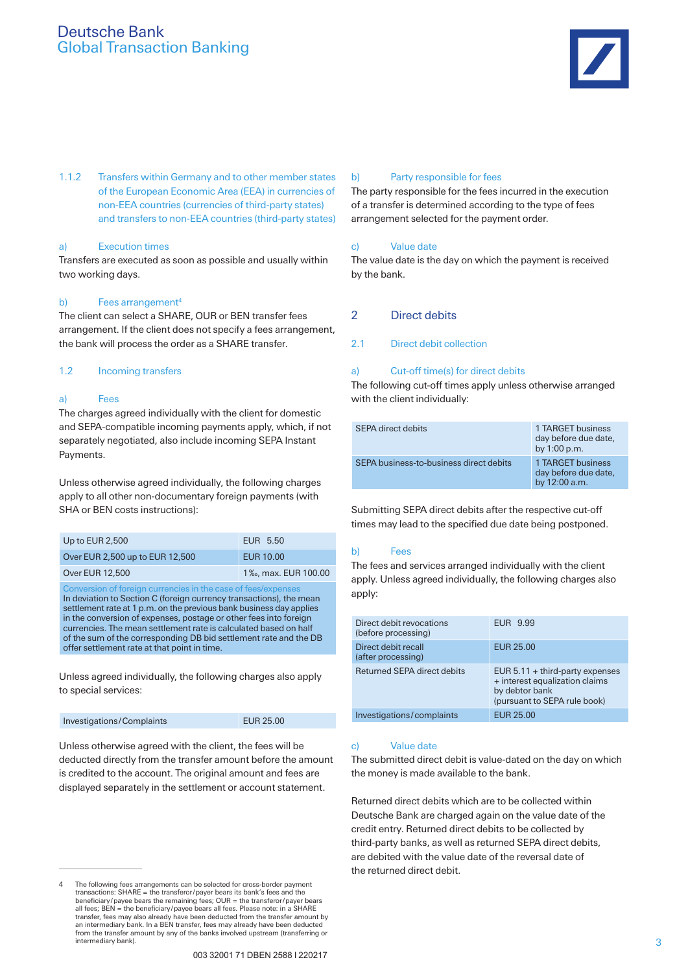# Deutsche Bank Global Transaction Banking



1.1.2 Transfers within Germany and to other member states of the European Economic Area (EEA) in currencies of non-EEA countries (currencies of third-party states) and transfers to non-EEA countries (third-party states)

## a) Execution times

Transfers are executed as soon as possible and usually within two working days.

## b) Fees arrangement<sup>4</sup>

The client can select a SHARE, OUR or BEN transfer fees arrangement. If the client does not specify a fees arrangement, the bank will process the order as a SHARE transfer.

### 1.2 Incoming transfers

#### a) Fees

The charges agreed individually with the client for domestic and SEPA-compatible incoming payments apply, which, if not separately negotiated, also include incoming SEPA Instant Payments.

Unless otherwise agreed individually, the following charges apply to all other non-documentary foreign payments (with SHA or BEN costs instructions):

| Up to EUR 2,500                                                                                                                                                                                                                                                                                                                                                                                                                                                           | EUR 5.50            |  |
|---------------------------------------------------------------------------------------------------------------------------------------------------------------------------------------------------------------------------------------------------------------------------------------------------------------------------------------------------------------------------------------------------------------------------------------------------------------------------|---------------------|--|
| Over EUR 2,500 up to EUR 12,500                                                                                                                                                                                                                                                                                                                                                                                                                                           | <b>EUR 10.00</b>    |  |
| <b>Over EUR 12,500</b>                                                                                                                                                                                                                                                                                                                                                                                                                                                    | 1‰, max. EUR 100.00 |  |
| Conversion of foreign currencies in the case of fees/expenses<br>In deviation to Section C (foreign currency transactions), the mean<br>settlement rate at 1 p.m. on the previous bank business day applies<br>in the conversion of expenses, postage or other fees into foreign<br>currencies. The mean settlement rate is calculated based on half<br>of the sum of the corresponding DB bid settlement rate and the DB<br>offer settlement rate at that point in time. |                     |  |

Unless agreed individually, the following charges also apply to special services:

**EUR 25.00** 

Unless otherwise agreed with the client, the fees will be deducted directly from the transfer amount before the amount is credited to the account. The original amount and fees are displayed separately in the settlement or account statement.

### 003 32001 71 DBEN 2588 I 220217

## b) Party responsible for fees

The party responsible for the fees incurred in the execution of a transfer is determined according to the type of fees arrangement selected for the payment order.

## c) Value date

The value date is the day on which the payment is received by the bank.

## 2 Direct debits

### 2.1 Direct debit collection

#### a) Cut-off time(s) for direct debits

The following cut-off times apply unless otherwise arranged with the client individually:

| SEPA direct debits                      | 1 TARGET business<br>day before due date,<br>by $1:00$ p.m. |
|-----------------------------------------|-------------------------------------------------------------|
| SEPA business-to-business direct debits | 1 TARGET business<br>day before due date,<br>by 12:00 a.m.  |

Submitting SEPA direct debits after the respective cut-off times may lead to the specified due date being postponed.

## b) Fees

The fees and services arranged individually with the client apply. Unless agreed individually, the following charges also apply:

| Direct debit revocations<br>(before processing) | EUR 9.99                                                                                                                     |
|-------------------------------------------------|------------------------------------------------------------------------------------------------------------------------------|
| Direct debit recall<br>(after processing)       | EUR 25.00                                                                                                                    |
| Returned SEPA direct debits                     | EUR $5.11 + \text{third-party expenses}$<br>+ interest equalization claims<br>by debtor bank<br>(pursuant to SEPA rule book) |
| Investigations/complaints                       | EUR 25.00                                                                                                                    |

#### c) Value date

The submitted direct debit is value-dated on the day on which the money is made available to the bank.

Returned direct debits which are to be collected within Deutsche Bank are charged again on the value date of the credit entry. Returned direct debits to be collected by third-party banks, as well as returned SEPA direct debits, are debited with the value date of the reversal date of the returned direct debit.

<sup>4</sup> The following fees arrangements can be selected for cross-border payment transactions: SHARE = the transferor/payer bears its bank's fees and the beneficiary/payee bears the remaining fees; OUR = the transferor/payer bears all fees; BEN = the beneficiary/payee bears all fees. Please note: in a SHARE transfer, fees may also already have been deducted from the transfer amount by an intermediary bank. In a BEN transfer, fees may already have been deducted from the transfer amount by any of the banks involved upstream (transferring or intermediary bank).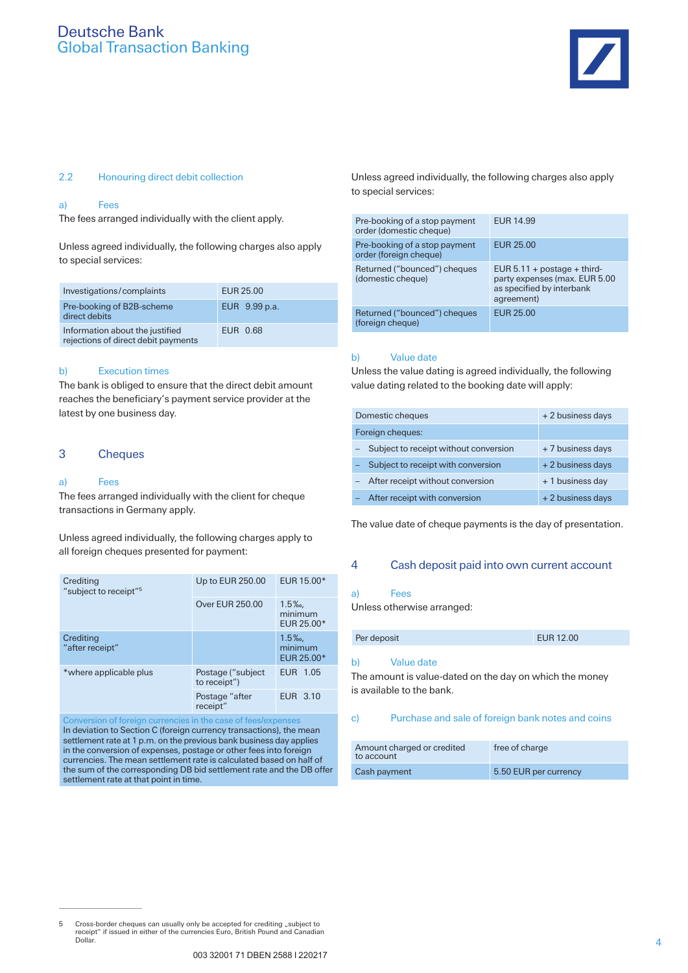

### 2.2 Honouring direct debit collection

## a) Fees

The fees arranged individually with the client apply.

Unless agreed individually, the following charges also apply to special services:

| Investigations/complaints                                              | EUR 25.00     |
|------------------------------------------------------------------------|---------------|
| Pre-booking of B2B-scheme<br>direct debits                             | EUR 9.99 p.a. |
| Information about the justified<br>rejections of direct debit payments | EUR 0.68      |

## b) Execution times

The bank is obliged to ensure that the direct debit amount reaches the beneficiary's payment service provider at the latest by one business day.

# 3 Cheques

#### a) Fees

The fees arranged individually with the client for cheque transactions in Germany apply.

Unless agreed individually, the following charges apply to all foreign cheques presented for payment:

| Crediting<br>"subject to receipt" <sup>5</sup> | Up to EUR 250.00                   | EUR 15.00*                           |
|------------------------------------------------|------------------------------------|--------------------------------------|
|                                                | <b>Over EUR 250.00</b>             | $1.5\%$ .<br>minimum<br>EUR $25.00*$ |
| Crediting<br>"after receipt"                   |                                    | $1.5\%$<br>minimum<br>EUR 25.00*     |
| *where applicable plus                         | Postage ("subject"<br>to receipt") | EUR 1.05                             |
|                                                | Postage "after<br>receipt"         | EUR 3.10                             |

Conversion of foreign currencies in the case of fe In deviation to Section C (foreign currency transactions), the mean settlement rate at 1 p.m. on the previous bank business day applies in the conversion of expenses, postage or other fees into foreign currencies. The mean settlement rate is calculated based on half of the sum of the corresponding DB bid settlement rate and the DB offer settlement rate at that point in time.

Unless agreed individually, the following charges also apply to special services:

| Pre-booking of a stop payment<br>order (domestic cheque) | <b>EUR 14.99</b>                                                                                         |
|----------------------------------------------------------|----------------------------------------------------------------------------------------------------------|
| Pre-booking of a stop payment<br>order (foreign cheque)  | EUR 25.00                                                                                                |
| Returned ("bounced") cheques<br>(domestic cheque)        | EUR $5.11 + postage + third$<br>party expenses (max. EUR 5.00<br>as specified by interbank<br>agreement) |
| Returned ("bounced") cheques<br>(foreign cheque)         | EUR 25.00                                                                                                |

#### b) Value date

Unless the value dating is agreed individually, the following value dating related to the booking date will apply:

| Domestic cheques                      | + 2 business days |
|---------------------------------------|-------------------|
| Foreign cheques:                      |                   |
| Subject to receipt without conversion | + 7 business days |
| Subject to receipt with conversion    | + 2 business days |
| After receipt without conversion      | + 1 business day  |
| After receipt with conversion         | + 2 business days |

The value date of cheque payments is the day of presentation.

# 4 Cash deposit paid into own current account

#### a) Fees

Unless otherwise arranged:

Per deposit EUR 12.00

## b) Value date

The amount is value-dated on the day on which the money is available to the bank.

### c) Purchase and sale of foreign bank notes and coins

| Amount charged or credited<br>to account | free of charge        |
|------------------------------------------|-----------------------|
| Cash payment                             | 5.50 EUR per currency |

<sup>5</sup> Cross-border cheques can usually only be accepted for crediting "subject to receipt" if issued in either of the currencies Euro, British Pound and Canadian Dollar.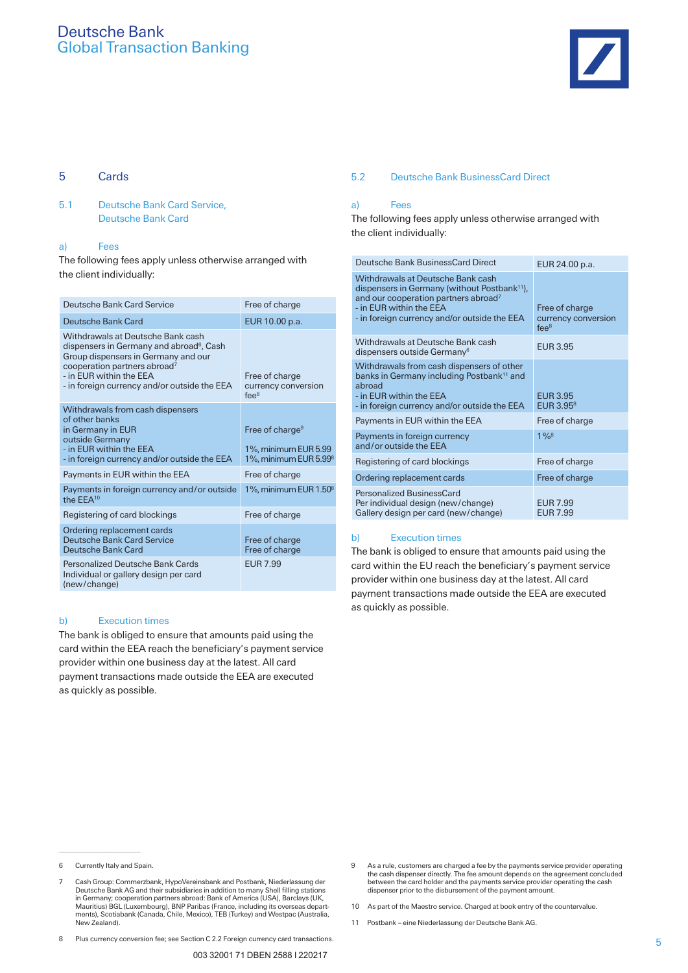# Deutsche Bank Global Transaction Banking



## 5 Cards

5.1 Deutsche Bank Card Service, Deutsche Bank Card

## a) Fees

The following fees apply unless otherwise arranged with the client individually:

| Deutsche Bank Card Service                                                                                                                                                                                                                              | Free of charge                                                               |
|---------------------------------------------------------------------------------------------------------------------------------------------------------------------------------------------------------------------------------------------------------|------------------------------------------------------------------------------|
| Deutsche Bank Card                                                                                                                                                                                                                                      | EUR 10.00 p.a.                                                               |
| Withdrawals at Deutsche Bank cash<br>dispensers in Germany and abroad <sup>6</sup> , Cash<br>Group dispensers in Germany and our<br>cooperation partners abroad <sup>7</sup><br>- in EUR within the EEA<br>- in foreign currency and/or outside the EEA | Free of charge<br>currency conversion<br>fee <sup>8</sup>                    |
| Withdrawals from cash dispensers<br>of other banks<br>in Germany in EUR<br>outside Germany<br>- in EUR within the EEA<br>- in foreign currency and/or outside the EEA                                                                                   | Free of charge <sup>9</sup><br>1%, minimum EUR 5.99<br>1%, minimum EUR 5.998 |
| Payments in EUR within the EEA                                                                                                                                                                                                                          | Free of charge                                                               |
| Payments in foreign currency and/or outside<br>the EEA <sup>10</sup>                                                                                                                                                                                    | 1%, minimum EUR 1.50 <sup>8</sup>                                            |
| Registering of card blockings                                                                                                                                                                                                                           | Free of charge                                                               |
| Ordering replacement cards<br>Deutsche Bank Card Service<br>Deutsche Bank Card                                                                                                                                                                          | Free of charge<br>Free of charge                                             |
| <b>Personalized Deutsche Bank Cards</b><br>Individual or gallery design per card<br>(new/change)                                                                                                                                                        | <b>EUR 7.99</b>                                                              |

### b) Execution times

The bank is obliged to ensure that amounts paid using the card within the EEA reach the beneficiary's payment service provider within one business day at the latest. All card payment transactions made outside the EEA are executed as quickly as possible.

#### 5.2 Deutsche Bank BusinessCard Direct

### a) Fees

The following fees apply unless otherwise arranged with the client individually:

| Deutsche Bank BusinessCard Direct                                                                                                                                                                                            | EUR 24.00 p.a.                                            |
|------------------------------------------------------------------------------------------------------------------------------------------------------------------------------------------------------------------------------|-----------------------------------------------------------|
| Withdrawals at Deutsche Bank cash<br>dispensers in Germany (without Postbank <sup>11</sup> ).<br>and our cooperation partners abroad <sup>7</sup><br>- in EUR within the EEA<br>- in foreign currency and/or outside the EEA | Free of charge<br>currency conversion<br>fee <sup>8</sup> |
| Withdrawals at Deutsche Bank cash<br>dispensers outside Germany <sup>6</sup>                                                                                                                                                 | <b>EUR 3.95</b>                                           |
| Withdrawals from cash dispensers of other<br>banks in Germany including Postbank <sup>11</sup> and<br>abroad<br>- in EUR within the EEA<br>- in foreign currency and/or outside the EEA                                      | <b>EUR 3.95</b><br>EUR 3.95 <sup>8</sup>                  |
| Payments in EUR within the EEA                                                                                                                                                                                               | Free of charge                                            |
| Payments in foreign currency<br>and/or outside the EEA                                                                                                                                                                       | $1\%$ <sup>8</sup>                                        |
| Registering of card blockings                                                                                                                                                                                                | Free of charge                                            |
| Ordering replacement cards                                                                                                                                                                                                   | Free of charge                                            |
| Personalized BusinessCard<br>Per individual design (new/change)<br>Gallery design per card (new/change)                                                                                                                      | <b>EUR 7.99</b><br><b>EUR 7.99</b>                        |

## b) Execution times

The bank is obliged to ensure that amounts paid using the card within the EU reach the beneficiary's payment service provider within one business day at the latest. All card payment transactions made outside the EEA are executed as quickly as possible.

- 9 As a rule, customers are charged a fee by the payments service provider operating the cash dispenser directly. The fee amount depends on the agreement concluded between the card holder and the payments service provider operating the cash dispenser prior to the disbursement of the payment amount.
- 10 As part of the Maestro service. Charged at book entry of the countervalue.
- 11 Postbank eine Niederlassung der Deutsche Bank AG.

<sup>6</sup> Currently Italy and Spain.

<sup>7</sup> Cash Group: Commerzbank, HypoVereinsbank and Postbank, Niederlassung der Deutsche Bank AG and their subsidiaries in addition to many Shell filling stations in Germany; cooperation partners abroad: Bank of America (USA), Barclays (UK, Mauritius) BGL (Luxembourg), BNP Paribas (France, including its overseas depart-ments), Scotiabank (Canada, Chile, Mexico), TEB (Turkey) and Westpac (Australia, New Zealand).

<sup>8</sup> Plus currency conversion fee; see Section C 2.2 Foreign currency card transactions.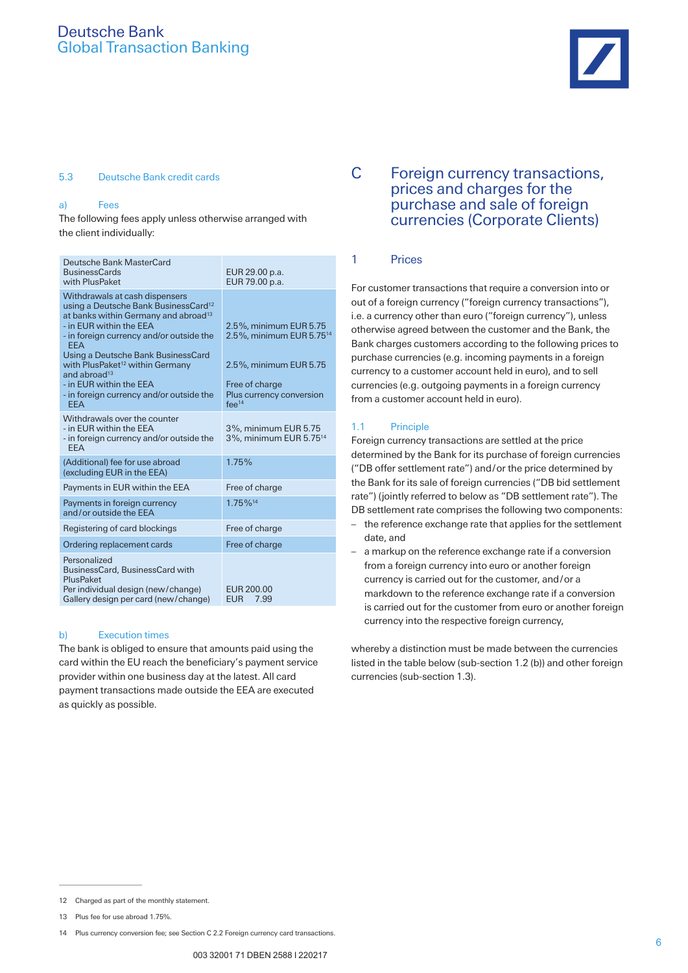## 5.3 Deutsche Bank credit cards

## a) Fees

The following fees apply unless otherwise arranged with the client individually:

| EUR 29.00 p.a.<br>EUR 79.00 p.a.                                                                                                                            |
|-------------------------------------------------------------------------------------------------------------------------------------------------------------|
| 2.5%, minimum EUR 5.75<br>2.5%, minimum EUR 5.75 <sup>14</sup><br>2.5%, minimum EUR 5.75<br>Free of charge<br>Plus currency conversion<br>fee <sup>14</sup> |
| 3%, minimum EUR 5.75<br>3%, minimum EUR 5.75 <sup>14</sup>                                                                                                  |
| 1.75%                                                                                                                                                       |
| Free of charge                                                                                                                                              |
| 1.75%14                                                                                                                                                     |
| Free of charge                                                                                                                                              |
| Free of charge                                                                                                                                              |
| EUR 200.00<br>7.99<br><b>EUR</b>                                                                                                                            |
|                                                                                                                                                             |

## b) Execution times

The bank is obliged to ensure that amounts paid using the card within the EU reach the beneficiary's payment service provider within one business day at the latest. All card payment transactions made outside the EEA are executed as quickly as possible.

# C Foreign currency transactions, prices and charges for the purchase and sale of foreign currencies (Corporate Clients)

## 1 Prices

For customer transactions that require a conversion into or out of a foreign currency ("foreign currency transactions"), i.e. a currency other than euro ("foreign currency"), unless otherwise agreed between the customer and the Bank, the Bank charges customers according to the following prices to purchase currencies (e.g. incoming payments in a foreign currency to a customer account held in euro), and to sell currencies (e.g. outgoing payments in a foreign currency from a customer account held in euro).

## 1.1 Principle

Foreign currency transactions are settled at the price determined by the Bank for its purchase of foreign currencies ("DB offer settlement rate") and/or the price determined by the Bank for its sale of foreign currencies ("DB bid settlement rate") (jointly referred to below as "DB settlement rate"). The DB settlement rate comprises the following two components:

- the reference exchange rate that applies for the settlement date, and
- a markup on the reference exchange rate if a conversion from a foreign currency into euro or another foreign currency is carried out for the customer, and/or a markdown to the reference exchange rate if a conversion is carried out for the customer from euro or another foreign currency into the respective foreign currency,

whereby a distinction must be made between the currencies listed in the table below (sub-section 1.2 (b)) and other foreign currencies (sub-section 1.3).

<sup>12</sup> Charged as part of the monthly statement

<sup>13</sup> Plus fee for use abroad 1.75%.

<sup>14</sup> Plus currency conversion fee; see Section C 2.2 Foreign currency card transactions.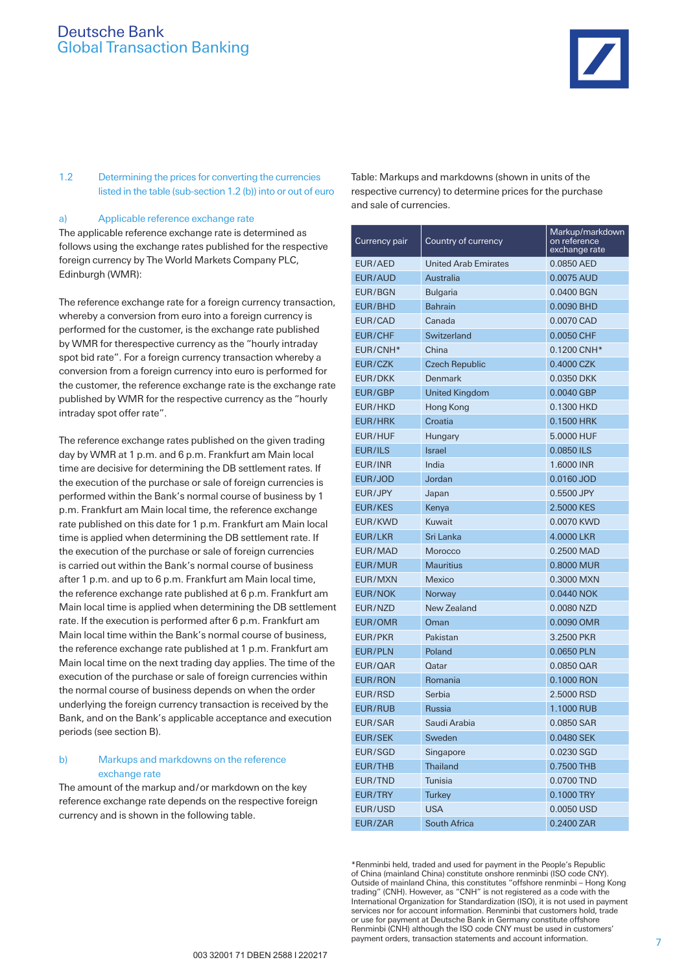

1.2 Determining the prices for converting the currencies listed in the table (sub-section 1.2 (b)) into or out of euro

## a) Applicable reference exchange rate

The applicable reference exchange rate is determined as follows using the exchange rates published for the respective foreign currency by The World Markets Company PLC, Edinburgh (WMR):

The reference exchange rate for a foreign currency transaction, whereby a conversion from euro into a foreign currency is performed for the customer, is the exchange rate published by WMR for therespective currency as the "hourly intraday spot bid rate". For a foreign currency transaction whereby a conversion from a foreign currency into euro is performed for the customer, the reference exchange rate is the exchange rate published by WMR for the respective currency as the "hourly intraday spot offer rate".

The reference exchange rates published on the given trading day by WMR at 1 p.m. and 6 p.m. Frankfurt am Main local time are decisive for determining the DB settlement rates. If the execution of the purchase or sale of foreign currencies is performed within the Bank's normal course of business by 1 p.m. Frankfurt am Main local time, the reference exchange rate published on this date for 1 p.m. Frankfurt am Main local time is applied when determining the DB settlement rate. If the execution of the purchase or sale of foreign currencies is carried out within the Bank's normal course of business after 1 p.m. and up to 6 p.m. Frankfurt am Main local time, the reference exchange rate published at 6 p.m. Frankfurt am Main local time is applied when determining the DB settlement rate. If the execution is performed after 6 p.m. Frankfurt am Main local time within the Bank's normal course of business, the reference exchange rate published at 1 p.m. Frankfurt am Main local time on the next trading day applies. The time of the execution of the purchase or sale of foreign currencies within the normal course of business depends on when the order underlying the foreign currency transaction is received by the Bank, and on the Bank's applicable acceptance and execution periods (see section B).

## b) Markups and markdowns on the reference exchange rate

The amount of the markup and/or markdown on the key reference exchange rate depends on the respective foreign currency and is shown in the following table.

Table: Markups and markdowns (shown in units of the respective currency) to determine prices for the purchase and sale of currencies.

| Currency pair  | Country of currency         | Markup/markdown<br>on reference<br>exchange rate |
|----------------|-----------------------------|--------------------------------------------------|
| EUR/AED        | <b>United Arab Emirates</b> | 0.0850 AED                                       |
| EUR/AUD        | Australia                   | 0.0075 AUD                                       |
| EUR/BGN        | <b>Bulgaria</b>             | 0.0400 BGN                                       |
| <b>EUR/BHD</b> | <b>Bahrain</b>              | 0.0090 BHD                                       |
| EUR/CAD        | Canada                      | 0.0070 CAD                                       |
| <b>EUR/CHF</b> | Switzerland                 | 0.0050 CHF                                       |
| EUR/CNH*       | China                       | 0.1200 CNH*                                      |
| <b>EUR/CZK</b> | <b>Czech Republic</b>       | 0.4000 CZK                                       |
| <b>EUR/DKK</b> | Denmark                     | 0.0350 DKK                                       |
| EUR/GBP        | <b>United Kingdom</b>       | 0.0040 GBP                                       |
| EUR/HKD        | Hong Kong                   | 0.1300 HKD                                       |
| <b>EUR/HRK</b> | Croatia                     | 0.1500 HRK                                       |
| <b>EUR/HUF</b> | Hungary                     | 5.0000 HUF                                       |
| EUR/ILS        | <b>Israel</b>               | 0.0850 ILS                                       |
| <b>EUR/INR</b> | India                       | 1.6000 INR                                       |
| EUR/JOD        | Jordan                      | 0.0160 JOD                                       |
| EUR/JPY        | Japan                       | 0.5500 JPY                                       |
| <b>EUR/KES</b> | Kenya                       | 2.5000 KES                                       |
| EUR/KWD        | Kuwait                      | 0.0070 KWD                                       |
| <b>EUR/LKR</b> | Sri Lanka                   | 4.0000 LKR                                       |
| EUR/MAD        | Morocco                     | 0.2500 MAD                                       |
| EUR/MUR        | <b>Mauritius</b>            | 0.8000 MUR                                       |
| EUR/MXN        | Mexico                      | 0.3000 MXN                                       |
| <b>EUR/NOK</b> | Norway                      | 0.0440 NOK                                       |
| EUR/NZD        | New Zealand                 | 0.0080 NZD                                       |
| EUR/OMR        | Oman                        | 0.0090 OMR                                       |
| <b>EUR/PKR</b> | Pakistan                    | 3.2500 PKR                                       |
| <b>EUR/PLN</b> | Poland                      | 0.0650 PLN                                       |
| EUR/QAR        | Qatar                       | 0.0850 QAR                                       |
| <b>EUR/RON</b> | Romania                     | 0.1000 RON                                       |
| EUR/RSD        | Serbia                      | 2.5000 RSD                                       |
| <b>EUR/RUB</b> | <b>Russia</b>               | 1.1000 RUB                                       |
| EUR/SAR        | Saudi Arabia                | 0.0850 SAR                                       |
| <b>EUR/SEK</b> | Sweden                      | 0.0480 SEK                                       |
| EUR/SGD        | Singapore                   | 0.0230 SGD                                       |
| EUR/THB        | <b>Thailand</b>             | 0.7500 THB                                       |
| EUR/TND        | Tunisia                     | 0.0700 TND                                       |
| <b>EUR/TRY</b> | <b>Turkey</b>               | 0.1000 TRY                                       |
| EUR/USD        | <b>USA</b>                  | 0.0050 USD                                       |
| EUR/ZAR        | South Africa                | 0.2400 ZAR                                       |

\*Renminbi held, traded and used for payment in the People's Republic of China (mainland China) constitute onshore renminbi (ISO code CNY). Outside of mainland China, this constitutes "offshore renminbi – Hong Kong trading" (CNH). However, as "CNH" is not registered as a code with the International Organization for Standardization (ISO), it is not used in payment services nor for account information. Renminbi that customers hold, trade or use for payment at Deutsche Bank in Germany constitute offshore Renminbi (CNH) although the ISO code CNY must be used in customers' payment orders, transaction statements and account information.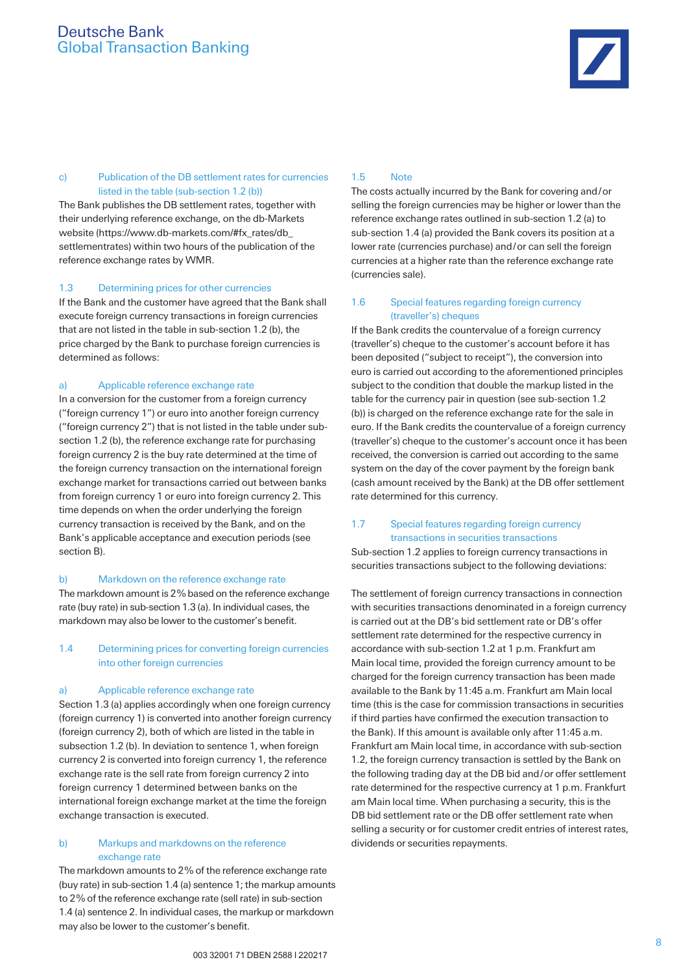

## c) Publication of the DB settlement rates for currencies listed in the table (sub-section 1.2 (b))

The Bank publishes the DB settlement rates, together with their underlying reference exchange, on the db-Markets website (https://www.db-markets.com/#fx\_rates/db\_ settlementrates) within two hours of the publication of the reference exchange rates by WMR.

### 1.3 Determining prices for other currencies

If the Bank and the customer have agreed that the Bank shall execute foreign currency transactions in foreign currencies that are not listed in the table in sub-section 1.2 (b), the price charged by the Bank to purchase foreign currencies is determined as follows:

### a) Applicable reference exchange rate

In a conversion for the customer from a foreign currency ("foreign currency 1") or euro into another foreign currency ("foreign currency 2") that is not listed in the table under subsection 1.2 (b), the reference exchange rate for purchasing foreign currency 2 is the buy rate determined at the time of the foreign currency transaction on the international foreign exchange market for transactions carried out between banks from foreign currency 1 or euro into foreign currency 2. This time depends on when the order underlying the foreign currency transaction is received by the Bank, and on the Bank's applicable acceptance and execution periods (see section B).

#### b) Markdown on the reference exchange rate

The markdown amount is 2% based on the reference exchange rate (buy rate) in sub-section 1.3 (a). In individual cases, the markdown may also be lower to the customer's benefit.

## 1.4 Determining prices for converting foreign currencies into other foreign currencies

## a) Applicable reference exchange rate

Section 1.3 (a) applies accordingly when one foreign currency (foreign currency 1) is converted into another foreign currency (foreign currency 2), both of which are listed in the table in subsection 1.2 (b). In deviation to sentence 1, when foreign currency 2 is converted into foreign currency 1, the reference exchange rate is the sell rate from foreign currency 2 into foreign currency 1 determined between banks on the international foreign exchange market at the time the foreign exchange transaction is executed.

## b) Markups and markdowns on the reference exchange rate

The markdown amounts to 2% of the reference exchange rate (buy rate) in sub-section 1.4 (a) sentence 1; the markup amounts to 2% of the reference exchange rate (sell rate) in sub-section 1.4 (a) sentence 2. In individual cases, the markup or markdown may also be lower to the customer's benefit.

### 1.5 Note

The costs actually incurred by the Bank for covering and/or selling the foreign currencies may be higher or lower than the reference exchange rates outlined in sub-section 1.2 (a) to sub-section 1.4 (a) provided the Bank covers its position at a lower rate (currencies purchase) and/or can sell the foreign currencies at a higher rate than the reference exchange rate (currencies sale).

## 1.6 Special features regarding foreign currency (traveller's) cheques

If the Bank credits the countervalue of a foreign currency (traveller's) cheque to the customer's account before it has been deposited ("subject to receipt"), the conversion into euro is carried out according to the aforementioned principles subject to the condition that double the markup listed in the table for the currency pair in question (see sub-section 1.2 (b)) is charged on the reference exchange rate for the sale in euro. If the Bank credits the countervalue of a foreign currency (traveller's) cheque to the customer's account once it has been received, the conversion is carried out according to the same system on the day of the cover payment by the foreign bank (cash amount received by the Bank) at the DB offer settlement rate determined for this currency.

## 1.7 Special features regarding foreign currency transactions in securities transactions

Sub-section 1.2 applies to foreign currency transactions in securities transactions subject to the following deviations:

The settlement of foreign currency transactions in connection with securities transactions denominated in a foreign currency is carried out at the DB's bid settlement rate or DB's offer settlement rate determined for the respective currency in accordance with sub-section 1.2 at 1 p.m. Frankfurt am Main local time, provided the foreign currency amount to be charged for the foreign currency transaction has been made available to the Bank by 11:45 a.m. Frankfurt am Main local time (this is the case for commission transactions in securities if third parties have confirmed the execution transaction to the Bank). If this amount is available only after 11:45 a.m. Frankfurt am Main local time, in accordance with sub-section 1.2, the foreign currency transaction is settled by the Bank on the following trading day at the DB bid and/or offer settlement rate determined for the respective currency at 1 p.m. Frankfurt am Main local time. When purchasing a security, this is the DB bid settlement rate or the DB offer settlement rate when selling a security or for customer credit entries of interest rates, dividends or securities repayments.